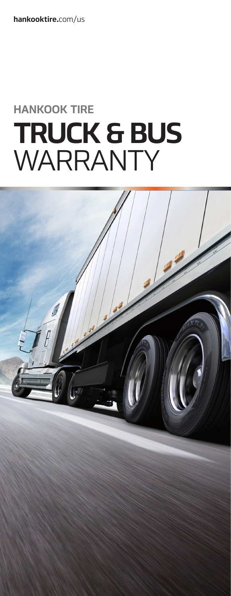hankooktire.com/us

# **HANKOOK TIRE TRUCK & BUS** WARRANTY

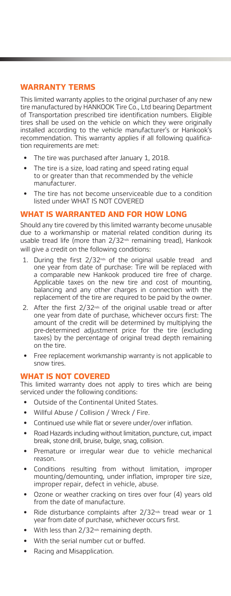# **WARRANTY TERMS**

This limited warranty applies to the original purchaser of any new tire manufactured by HANKOOK Tire Co., Ltd bearing Department of Transportation prescribed tire identification numbers. Eligible tires shall be used on the vehicle on which they were originally installed according to the vehicle manufacturer's or Hankook's recommendation. This warranty applies if all following qualification requirements are met:

- The tire was purchased after January 1, 2018.
- **•**  The tire is a size, load rating and speed rating equal to or greater than that recommended by the vehicle manufacturer.
- The tire has not become unserviceable due to a condition listed under WHAT IS NOT COVERED

## **WHAT IS WARRANTED AND FOR HOW LONG**

Should any tire covered by this limited warranty become unusable due to a workmanship or material related condition during its usable tread life (more than 2/32<sup>nds</sup> remaining tread), Hankook will give a credit on the following conditions:

- 1. During the first  $2/32^{nds}$  of the original usable tread and one year from date of purchase: Tire will be replaced with a comparable new Hankook produced tire free of charge. Applicable taxes on the new tire and cost of mounting, balancing and any other charges in connection with the replacement of the tire are required to be paid by the owner.
- 2. After the first  $2/32<sub>nds</sub>$  of the original usable tread or after one year from date of purchase, whichever occurs first: The amount of the credit will be determined by multiplying the pre-determined adjustment price for the tire (excluding taxes) by the percentage of original tread depth remaining on the tire.
- Free replacement workmanship warranty is not applicable to snow tires.

## **WHAT IS NOT COVERED**

This limited warranty does not apply to tires which are being serviced under the following conditions:

- **•**  Outside of the Continental United States.
- **•**  Willful Abuse / Collision / Wreck / Fire.
- Continued use while flat or severe under/over inflation.
- Road Hazards including without limitation, puncture, cut, impact break, stone drill, bruise, bulge, snag, collision.
- Premature or irregular wear due to vehicle mechanical reason.
- Conditions resulting from without limitation, improper mounting/demounting, under inflation, improper tire size, improper repair, defect in vehicle, abuse.
- Ozone or weather cracking on tires over four (4) years old from the date of manufacture.
- Ride disturbance complaints after 2/32<sup>nds</sup> tread wear or 1 year from date of purchase, whichever occurs first.
- With less than 2/32<sup>nds</sup> remaining depth.
- With the serial number cut or buffed.
- **Racing and Misapplication.**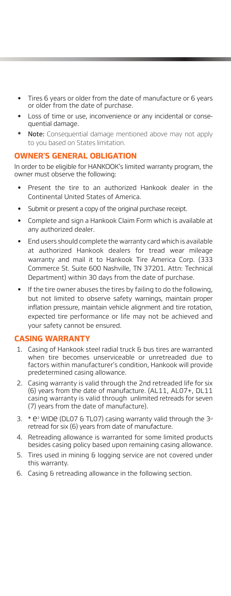- Tires 6 years or older from the date of manufacture or 6 years or older from the date of purchase.
- Loss of time or use, inconvenience or any incidental or consequential damage.
- Note: Consequential damage mentioned above may not apply to you based on States limitation.

## **OWNER'S GENERAL OBLIGATION**

In order to be eligible for HANKOOK's limited warranty program, the owner must observe the following:

- Present the tire to an authorized Hankook dealer in the Continental United States of America.
- Submit or present a copy of the original purchase receipt.
- Complete and sign a Hankook Claim Form which is available at any authorized dealer.
- End users should complete the warranty card which is available at authorized Hankook dealers for tread wear mileage warranty and mail it to Hankook Tire America Corp. (333 Commerce St. Suite 600 Nashville, TN 37201. Attn: Technical Department) within 30 days from the date of purchase.
- If the tire owner abuses the tires by failing to do the following, but not limited to observe safety warnings, maintain proper inflation pressure, maintain vehicle alignment and tire rotation, expected tire performance or life may not be achieved and your safety cannot be ensured.

## **CASING WARRANTY**

- 1. Casing of Hankook steel radial truck & bus tires are warranted when tire becomes unserviceable or unretreaded due to factors within manufacturer's condition, Hankook will provide predetermined casing allowance.
- 2. Casing warranty is valid through the 2nd retreaded life for six (6) years from the date of manufacture. (AL11, AL07+, DL11 casing warranty is valid through unlimited retreads for seven (7) years from the date of manufacture).
- 3.  $*$  e<sup>3</sup> WIDe (DL07 & TL07) casing warranty valid through the 3<sup>rd</sup> retread for six (6) years from date of manufacture.
- 4. Retreading allowance is warranted for some limited products besides casing policy based upon remaining casing allowance.
- 5. Tires used in mining & logging service are not covered under this warranty.
- 6. Casing & retreading allowance in the following section.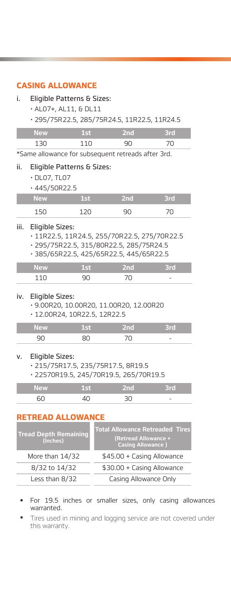# **CASING ALLOWANCE**

#### i. Eligible Patterns & Sizes:

- AL07+, AL11, & DL11
- 295/75R22.5, 285/75R24.5, 11R22.5, 11R24.5

| <b>New</b> | 4 I F | NTO. |
|------------|-------|------|
|            |       |      |

\*Same allowance for subsequent retreads after 3rd.

#### ii. Eligible Patterns & Sizes:

- DL07, TL07
- 445/50R22.5

| <b>New</b> | œ | 2nd | łТ |
|------------|---|-----|----|
| ' ⊾        |   |     |    |

#### iii. Eligible Sizes:

- 11R22.5, 11R24.5, 255/70R22.5, 275/70R22.5
- 295/75R22.5, 315/80R22.5, 285/75R24.5
- 385/65R22.5, 425/65R22.5, 445/65R22.5

| New | e Innis. | ïΠ                       |
|-----|----------|--------------------------|
|     |          | $\overline{\phantom{a}}$ |

#### iv. Eligible Sizes:

- 9.00R20, 10.00R20, 11.00R20, 12.00R20
- 12.00R24, 10R22.5, 12R22.5

| <b>New</b> | Millin |                          |
|------------|--------|--------------------------|
|            |        | $\overline{\phantom{a}}$ |

#### v. Eligible Sizes:

- 215/75R17.5, 235/75R17.5, 8R19.5
- 22570R19.5, 245/70R19.5, 265/70R19.5

| $\sim$ |  |                          |
|--------|--|--------------------------|
|        |  | $\overline{\phantom{a}}$ |

# **RETREAD ALLOWANCE**

| <b>Tread Depth Remaining</b><br>(Inches) | <b>Total Allowance Retreaded Tires</b><br>(Retread Allowance +<br><b>Casing Allowance</b> ) |
|------------------------------------------|---------------------------------------------------------------------------------------------|
| More than $14/32$                        | \$45.00 + Casing Allowance                                                                  |
| 8/32 to 14/32                            | \$30.00 + Casing Allowance                                                                  |
| Less than 8/32                           | Casing Allowance Only                                                                       |

- For 19.5 inches or smaller sizes, only casing allowances warranted.
- Tires used in mining and logging service are not covered under this warranty.